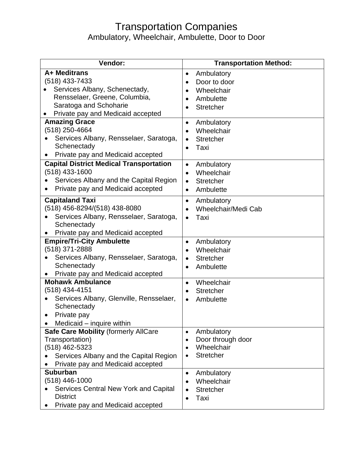## Transportation Companies

Ambulatory, Wheelchair, Ambulette, Door to Door

| Vendor:                                        | <b>Transportation Method:</b>                |
|------------------------------------------------|----------------------------------------------|
| A+ Meditrans                                   | Ambulatory<br>$\bullet$                      |
| (518) 433-7433                                 | Door to door<br>$\bullet$                    |
| Services Albany, Schenectady,                  | Wheelchair<br>$\bullet$                      |
| Rensselaer, Greene, Columbia,                  | Ambulette                                    |
| Saratoga and Schoharie                         | <b>Stretcher</b><br>$\bullet$                |
| Private pay and Medicaid accepted              |                                              |
| <b>Amazing Grace</b>                           | Ambulatory<br>$\bullet$                      |
| (518) 250-4664                                 | Wheelchair<br>$\bullet$                      |
| Services Albany, Rensselaer, Saratoga,         | <b>Stretcher</b><br>٠                        |
| Schenectady                                    | Taxi<br>$\bullet$                            |
| Private pay and Medicaid accepted              |                                              |
| <b>Capital District Medical Transportation</b> | Ambulatory<br>$\bullet$                      |
| $(518)$ 433-1600                               | Wheelchair<br>$\bullet$                      |
| Services Albany and the Capital Region         | <b>Stretcher</b><br>$\bullet$                |
| Private pay and Medicaid accepted<br>٠         | Ambulette<br>$\bullet$                       |
| <b>Capitaland Taxi</b>                         | Ambulatory<br>$\bullet$                      |
| (518) 456-8294/(518) 438-8080                  | Wheelchair/Medi Cab<br>$\bullet$             |
| Services Albany, Rensselaer, Saratoga,         | Taxi<br>$\bullet$                            |
| Schenectady                                    |                                              |
| Private pay and Medicaid accepted              |                                              |
| <b>Empire/Tri-City Ambulette</b>               | Ambulatory<br>$\bullet$                      |
| (518) 371-2888                                 | Wheelchair<br>$\bullet$                      |
| Services Albany, Rensselaer, Saratoga,         | <b>Stretcher</b><br>٠                        |
| Schenectady                                    | Ambulette<br>$\bullet$                       |
| Private pay and Medicaid accepted              |                                              |
| <b>Mohawk Ambulance</b>                        | Wheelchair<br>$\bullet$                      |
| (518) 434-4151                                 | <b>Stretcher</b>                             |
| Services Albany, Glenville, Rensselaer,        | Ambulette                                    |
| Schenectady                                    |                                              |
| Private pay                                    |                                              |
| Medicaid – inquire within                      |                                              |
| <b>Safe Care Mobility (formerly AllCare</b>    | Ambulatory<br>$\bullet$                      |
| Transportation)<br>(518) 462-5323              | Door through door<br>$\bullet$<br>Wheelchair |
| Services Albany and the Capital Region         | $\bullet$<br><b>Stretcher</b>                |
| Private pay and Medicaid accepted              | $\bullet$                                    |
| <b>Suburban</b>                                | Ambulatory<br>$\bullet$                      |
| (518) 446-1000                                 | Wheelchair<br>$\bullet$                      |
| Services Central New York and Capital          | <b>Stretcher</b>                             |
| <b>District</b>                                | Taxi                                         |
| Private pay and Medicaid accepted              |                                              |